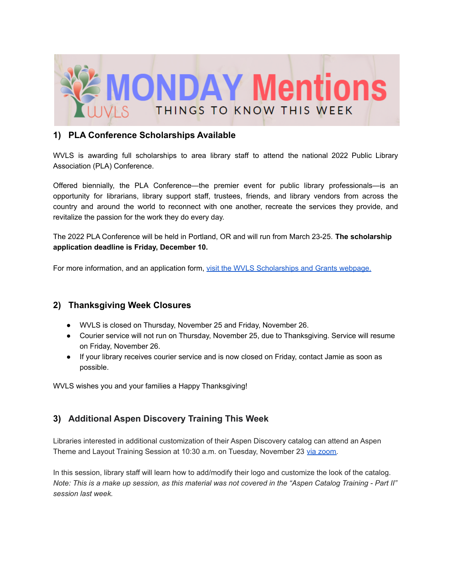

#### **1) PLA Conference Scholarships Available**

WVLS is awarding full scholarships to area library staff to attend the national 2022 Public Library Association (PLA) Conference.

Offered biennially, the PLA Conference—the premier event for public library professionals—is an opportunity for librarians, library support staff, trustees, friends, and library vendors from across the country and around the world to reconnect with one another, recreate the services they provide, and revitalize the passion for the work they do every day.

The 2022 PLA Conference will be held in Portland, OR and will run from March 23-25. **The scholarship application deadline is Friday, December 10.**

For more information, and an application form, visit the WVLS [Scholarships](https://wvls.org/scholarships-and-grants/) and Grants webpage.

### **2) Thanksgiving Week Closures**

- WVLS is closed on Thursday, November 25 and Friday, November 26.
- Courier service will not run on Thursday, November 25, due to Thanksgiving. Service will resume on Friday, November 26.
- If your library receives courier service and is now closed on Friday, contact Jamie as soon as possible.

WVLS wishes you and your families a Happy Thanksgiving!

# **3) Additional Aspen Discovery Training This Week**

Libraries interested in additional customization of their Aspen Discovery catalog can attend an Aspen Theme and Layout Training Session at 10:30 a.m. on Tuesday, November 23 via [zoom.](https://us02web.zoom.us/j/82248498111)

In this session, library staff will learn how to add/modify their logo and customize the look of the catalog. Note: This is a make up session, as this material was not covered in the "Aspen Catalog Training - Part II" *session last week.*